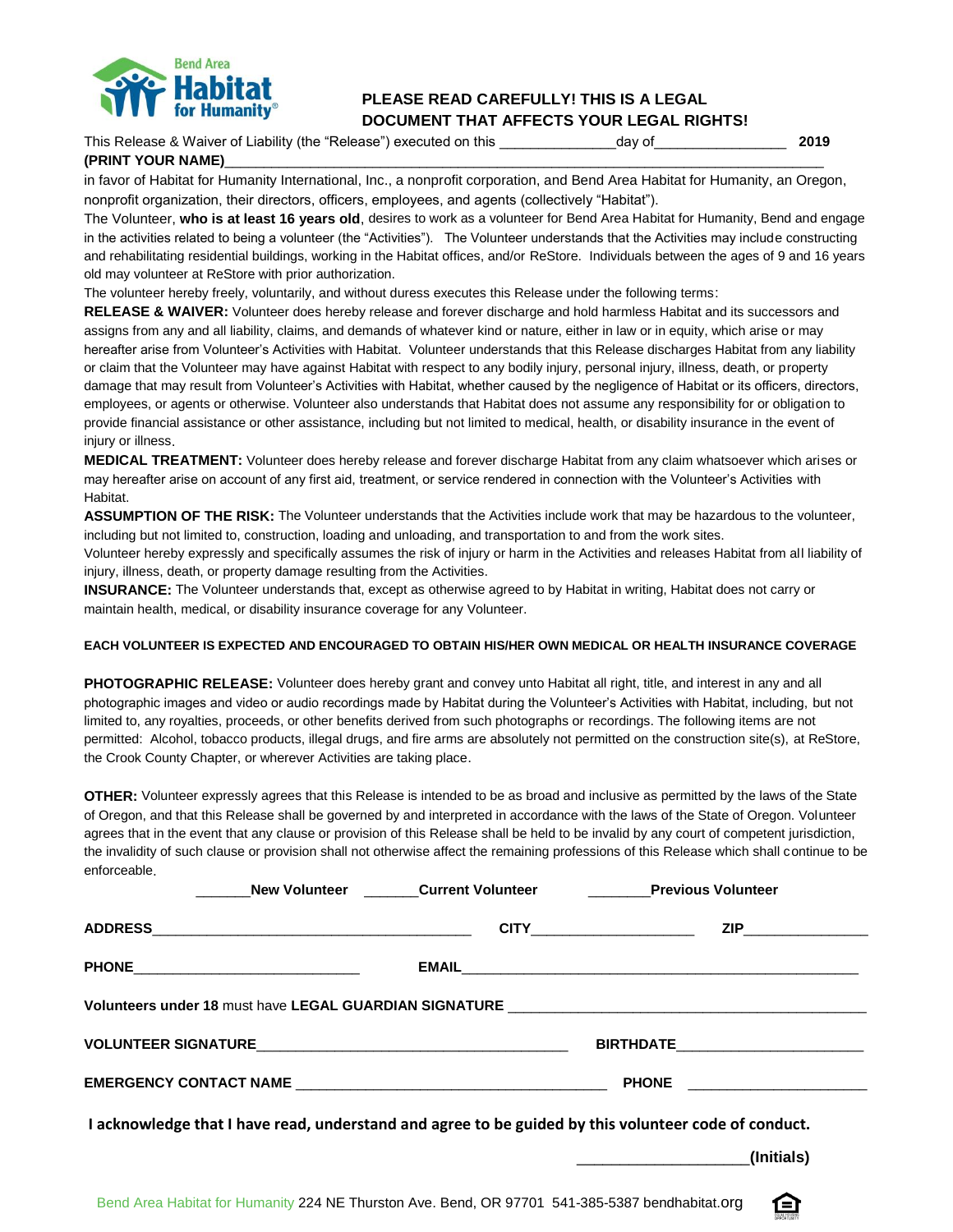

## **PLEASE READ CAREFULLY! THIS IS A LEGAL DOCUMENT THAT AFFECTS YOUR LEGAL RIGHTS!**

| This Release & Waiver of Liability (the "Release") executed on this | dav of | 2019 |
|---------------------------------------------------------------------|--------|------|
| (PRINT YOUR NAME)                                                   |        |      |

in favor of Habitat for Humanity International, Inc., a nonprofit corporation, and Bend Area Habitat for Humanity, an Oregon, nonprofit organization, their directors, officers, employees, and agents (collectively "Habitat").

The Volunteer, **who is at least 16 years old**, desires to work as a volunteer for Bend Area Habitat for Humanity, Bend and engage in the activities related to being a volunteer (the "Activities"). The Volunteer understands that the Activities may include constructing and rehabilitating residential buildings, working in the Habitat offices, and/or ReStore. Individuals between the ages of 9 and 16 years old may volunteer at ReStore with prior authorization.

The volunteer hereby freely, voluntarily, and without duress executes this Release under the following terms:

**RELEASE & WAIVER:** Volunteer does hereby release and forever discharge and hold harmless Habitat and its successors and assigns from any and all liability, claims, and demands of whatever kind or nature, either in law or in equity, which arise or may hereafter arise from Volunteer's Activities with Habitat. Volunteer understands that this Release discharges Habitat from any liability or claim that the Volunteer may have against Habitat with respect to any bodily injury, personal injury, illness, death, or property damage that may result from Volunteer's Activities with Habitat, whether caused by the negligence of Habitat or its officers, directors, employees, or agents or otherwise. Volunteer also understands that Habitat does not assume any responsibility for or obligation to provide financial assistance or other assistance, including but not limited to medical, health, or disability insurance in the event of injury or illness.

**MEDICAL TREATMENT:** Volunteer does hereby release and forever discharge Habitat from any claim whatsoever which arises or may hereafter arise on account of any first aid, treatment, or service rendered in connection with the Volunteer's Activities with Habitat.

**ASSUMPTION OF THE RISK:** The Volunteer understands that the Activities include work that may be hazardous to the volunteer, including but not limited to, construction, loading and unloading, and transportation to and from the work sites.

Volunteer hereby expressly and specifically assumes the risk of injury or harm in the Activities and releases Habitat from all liability of injury, illness, death, or property damage resulting from the Activities.

**INSURANCE:** The Volunteer understands that, except as otherwise agreed to by Habitat in writing, Habitat does not carry or maintain health, medical, or disability insurance coverage for any Volunteer.

## **EACH VOLUNTEER IS EXPECTED AND ENCOURAGED TO OBTAIN HIS/HER OWN MEDICAL OR HEALTH INSURANCE COVERAGE**

**PHOTOGRAPHIC RELEASE:** Volunteer does hereby grant and convey unto Habitat all right, title, and interest in any and all photographic images and video or audio recordings made by Habitat during the Volunteer's Activities with Habitat, including, but not limited to, any royalties, proceeds, or other benefits derived from such photographs or recordings. The following items are not permitted: Alcohol, tobacco products, illegal drugs, and fire arms are absolutely not permitted on the construction site(s), at ReStore, the Crook County Chapter, or wherever Activities are taking place.

**OTHER:** Volunteer expressly agrees that this Release is intended to be as broad and inclusive as permitted by the laws of the State of Oregon, and that this Release shall be governed by and interpreted in accordance with the laws of the State of Oregon. Volunteer agrees that in the event that any clause or provision of this Release shall be held to be invalid by any court of competent jurisdiction, the invalidity of such clause or provision shall not otherwise affect the remaining professions of this Release which shall continue to be enforceable.

|  |                                       |  |                                     | New Volunteer Current Volunteer Previous Volunteer                                                   |  |  |
|--|---------------------------------------|--|-------------------------------------|------------------------------------------------------------------------------------------------------|--|--|
|  |                                       |  | <b>CITY________________________</b> | ZIP________________                                                                                  |  |  |
|  | PHONE________________________________ |  |                                     |                                                                                                      |  |  |
|  |                                       |  |                                     |                                                                                                      |  |  |
|  |                                       |  |                                     |                                                                                                      |  |  |
|  |                                       |  |                                     | PHONE _______________________                                                                        |  |  |
|  |                                       |  |                                     | I acknowledge that I have read, understand and agree to be guided by this volunteer code of conduct. |  |  |
|  |                                       |  |                                     | (Initials)<br>the contract of the contract of the contract of the contract of the contract of        |  |  |